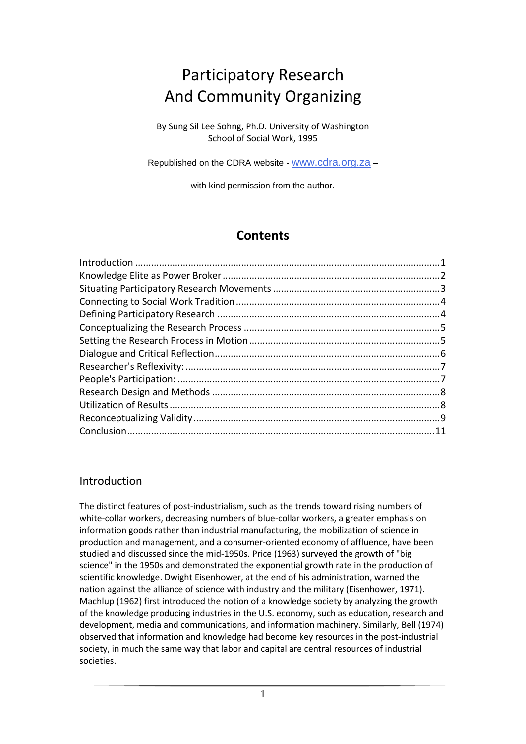# Participatory Research And Community Organizing

By Sung Sil Lee Sohng, Ph.D. University of Washington School of Social Work, 1995

Republished on the CDRA website - [www.cdra.org.za](http://www.cdra.org.za/) –

with kind permission from the author.

# **Contents**

#### <span id="page-0-0"></span>Introduction

The distinct features of post-industrialism, such as the trends toward rising numbers of white-collar workers, decreasing numbers of blue-collar workers, a greater emphasis on information goods rather than industrial manufacturing, the mobilization of science in production and management, and a consumer-oriented economy of affluence, have been studied and discussed since the mid-1950s. Price (1963) surveyed the growth of "big science" in the 1950s and demonstrated the exponential growth rate in the production of scientific knowledge. Dwight Eisenhower, at the end of his administration, warned the nation against the alliance of science with industry and the military (Eisenhower, 1971). Machlup (1962) first introduced the notion of a knowledge society by analyzing the growth of the knowledge producing industries in the U.S. economy, such as education, research and development, media and communications, and information machinery. Similarly, Bell (1974) observed that information and knowledge had become key resources in the post-industrial society, in much the same way that labor and capital are central resources of industrial societies.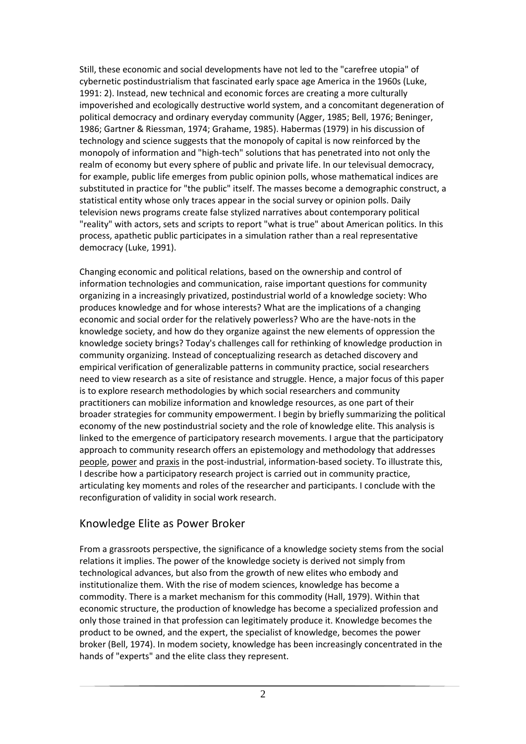Still, these economic and social developments have not led to the "carefree utopia" of cybernetic postindustrialism that fascinated early space age America in the 1960s (Luke, 1991: 2). Instead, new technical and economic forces are creating a more culturally impoverished and ecologically destructive world system, and a concomitant degeneration of political democracy and ordinary everyday community (Agger, 1985; Bell, 1976; Beninger, 1986; Gartner & Riessman, 1974; Grahame, 1985). Habermas (1979) in his discussion of technology and science suggests that the monopoly of capital is now reinforced by the monopoly of information and "high-tech" solutions that has penetrated into not only the realm of economy but every sphere of public and private life. In our televisual democracy, for example, public life emerges from public opinion polls, whose mathematical indices are substituted in practice for "the public" itself. The masses become a demographic construct, a statistical entity whose only traces appear in the social survey or opinion polls. Daily television news programs create false stylized narratives about contemporary political "reality" with actors, sets and scripts to report "what is true" about American politics. In this process, apathetic public participates in a simulation rather than a real representative democracy (Luke, 1991).

Changing economic and political relations, based on the ownership and control of information technologies and communication, raise important questions for community organizing in a increasingly privatized, postindustrial world of a knowledge society: Who produces knowledge and for whose interests? What are the implications of a changing economic and social order for the relatively powerless? Who are the have-nots in the knowledge society, and how do they organize against the new elements of oppression the knowledge society brings? Today's challenges call for rethinking of knowledge production in community organizing. Instead of conceptualizing research as detached discovery and empirical verification of generalizable patterns in community practice, social researchers need to view research as a site of resistance and struggle. Hence, a major focus of this paper is to explore research methodologies by which social researchers and community practitioners can mobilize information and knowledge resources, as one part of their broader strategies for community empowerment. I begin by briefly summarizing the political economy of the new postindustrial society and the role of knowledge elite. This analysis is linked to the emergence of participatory research movements. I argue that the participatory approach to community research offers an epistemology and methodology that addresses people, power and praxis in the post-industrial, information-based society. To illustrate this, I describe how a participatory research project is carried out in community practice, articulating key moments and roles of the researcher and participants. I conclude with the reconfiguration of validity in social work research.

## <span id="page-1-0"></span>Knowledge Elite as Power Broker

From a grassroots perspective, the significance of a knowledge society stems from the social relations it implies. The power of the knowledge society is derived not simply from technological advances, but also from the growth of new elites who embody and institutionalize them. With the rise of modem sciences, knowledge has become a commodity. There is a market mechanism for this commodity (Hall, 1979). Within that economic structure, the production of knowledge has become a specialized profession and only those trained in that profession can legitimately produce it. Knowledge becomes the product to be owned, and the expert, the specialist of knowledge, becomes the power broker (Bell, 1974). In modem society, knowledge has been increasingly concentrated in the hands of "experts" and the elite class they represent.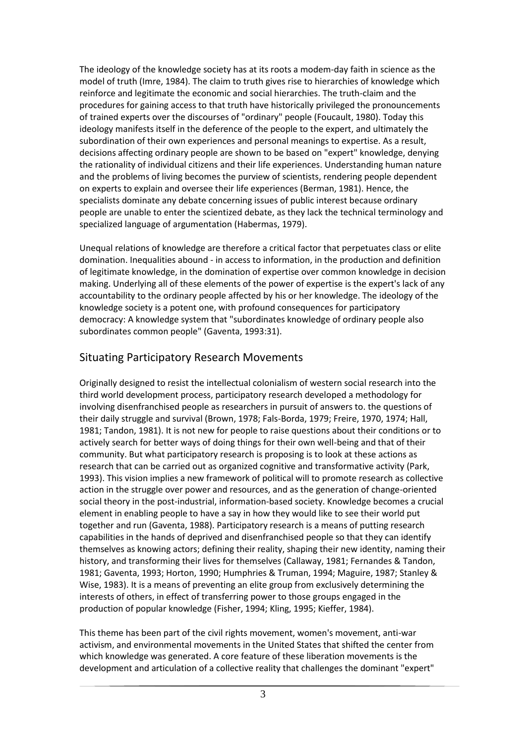The ideology of the knowledge society has at its roots a modem-day faith in science as the model of truth (Imre, 1984). The claim to truth gives rise to hierarchies of knowledge which reinforce and legitimate the economic and social hierarchies. The truth-claim and the procedures for gaining access to that truth have historically privileged the pronouncements of trained experts over the discourses of "ordinary" people (Foucault, 1980). Today this ideology manifests itself in the deference of the people to the expert, and ultimately the subordination of their own experiences and personal meanings to expertise. As a result, decisions affecting ordinary people are shown to be based on "expert" knowledge, denying the rationality of individual citizens and their life experiences. Understanding human nature and the problems of living becomes the purview of scientists, rendering people dependent on experts to explain and oversee their life experiences (Berman, 1981). Hence, the specialists dominate any debate concerning issues of public interest because ordinary people are unable to enter the scientized debate, as they lack the technical terminology and specialized language of argumentation (Habermas, 1979).

Unequal relations of knowledge are therefore a critical factor that perpetuates class or elite domination. Inequalities abound - in access to information, in the production and definition of legitimate knowledge, in the domination of expertise over common knowledge in decision making. Underlying all of these elements of the power of expertise is the expert's lack of any accountability to the ordinary people affected by his or her knowledge. The ideology of the knowledge society is a potent one, with profound consequences for participatory democracy: A knowledge system that "subordinates knowledge of ordinary people also subordinates common people" (Gaventa, 1993:31).

#### <span id="page-2-0"></span>Situating Participatory Research Movements

Originally designed to resist the intellectual colonialism of western social research into the third world development process, participatory research developed a methodology for involving disenfranchised people as researchers in pursuit of answers to. the questions of their daily struggle and survival (Brown, 1978; Fals-Borda, 1979; Freire, 1970, 1974; Hall, 1981; Tandon, 1981). It is not new for people to raise questions about their conditions or to actively search for better ways of doing things for their own well-being and that of their community. But what participatory research is proposing is to look at these actions as research that can be carried out as organized cognitive and transformative activity (Park, 1993). This vision implies a new framework of political will to promote research as collective action in the struggle over power and resources, and as the generation of change-oriented social theory in the post-industrial, information-based society. Knowledge becomes a crucial element in enabling people to have a say in how they would like to see their world put together and run (Gaventa, 1988). Participatory research is a means of putting research capabilities in the hands of deprived and disenfranchised people so that they can identify themselves as knowing actors; defining their reality, shaping their new identity, naming their history, and transforming their lives for themselves (Callaway, 1981; Fernandes & Tandon, 1981; Gaventa, 1993; Horton, 1990; Humphries & Truman, 1994; Maguire, 1987; Stanley & Wise, 1983). It is a means of preventing an elite group from exclusively determining the interests of others, in effect of transferring power to those groups engaged in the production of popular knowledge (Fisher, 1994; Kling, 1995; Kieffer, 1984).

This theme has been part of the civil rights movement, women's movement, anti-war activism, and environmental movements in the United States that shifted the center from which knowledge was generated. A core feature of these liberation movements is the development and articulation of a collective reality that challenges the dominant "expert"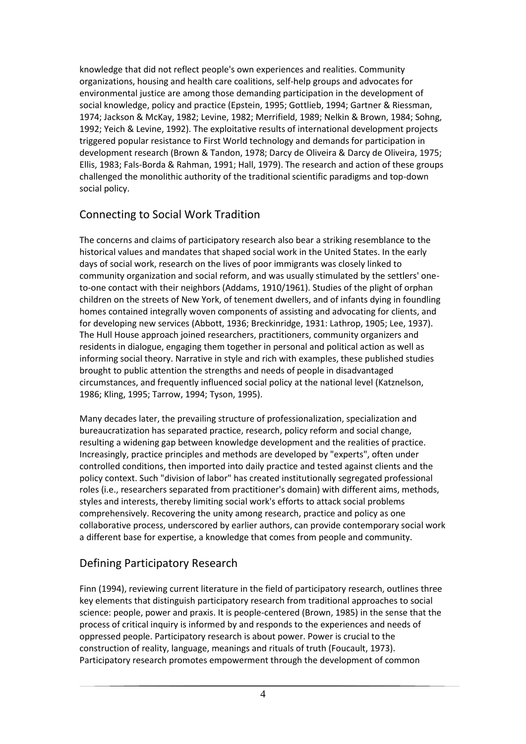knowledge that did not reflect people's own experiences and realities. Community organizations, housing and health care coalitions, self-help groups and advocates for environmental justice are among those demanding participation in the development of social knowledge, policy and practice (Epstein, 1995; Gottlieb, 1994; Gartner & Riessman, 1974; Jackson & McKay, 1982; Levine, 1982; Merrifield, 1989; Nelkin & Brown, 1984; Sohng, 1992; Yeich & Levine, 1992). The exploitative results of international development projects triggered popular resistance to First World technology and demands for participation in development research (Brown & Tandon, 1978; Darcy de Oliveira & Darcy de Oliveira, 1975; Ellis, 1983; Fals-Borda & Rahman, 1991; Hall, 1979). The research and action of these groups challenged the monolithic authority of the traditional scientific paradigms and top-down social policy.

# <span id="page-3-0"></span>Connecting to Social Work Tradition

The concerns and claims of participatory research also bear a striking resemblance to the historical values and mandates that shaped social work in the United States. In the early days of social work, research on the lives of poor immigrants was closely linked to community organization and social reform, and was usually stimulated by the settlers' oneto-one contact with their neighbors (Addams, 1910/1961). Studies of the plight of orphan children on the streets of New York, of tenement dwellers, and of infants dying in foundling homes contained integrally woven components of assisting and advocating for clients, and for developing new services (Abbott, 1936; Breckinridge, 1931: Lathrop, 1905; Lee, 1937). The Hull House approach joined researchers, practitioners, community organizers and residents in dialogue, engaging them together in personal and political action as well as informing social theory. Narrative in style and rich with examples, these published studies brought to public attention the strengths and needs of people in disadvantaged circumstances, and frequently influenced social policy at the national level (Katznelson, 1986; Kling, 1995; Tarrow, 1994; Tyson, 1995).

Many decades later, the prevailing structure of professionalization, specialization and bureaucratization has separated practice, research, policy reform and social change, resulting a widening gap between knowledge development and the realities of practice. Increasingly, practice principles and methods are developed by "experts", often under controlled conditions, then imported into daily practice and tested against clients and the policy context. Such "division of labor" has created institutionally segregated professional roles (i.e., researchers separated from practitioner's domain) with different aims, methods, styles and interests, thereby limiting social work's efforts to attack social problems comprehensively. Recovering the unity among research, practice and policy as one collaborative process, underscored by earlier authors, can provide contemporary social work a different base for expertise, a knowledge that comes from people and community.

## <span id="page-3-1"></span>Defining Participatory Research

Finn (1994), reviewing current literature in the field of participatory research, outlines three key elements that distinguish participatory research from traditional approaches to social science: people, power and praxis. It is people-centered (Brown, 1985) in the sense that the process of critical inquiry is informed by and responds to the experiences and needs of oppressed people. Participatory research is about power. Power is crucial to the construction of reality, language, meanings and rituals of truth (Foucault, 1973). Participatory research promotes empowerment through the development of common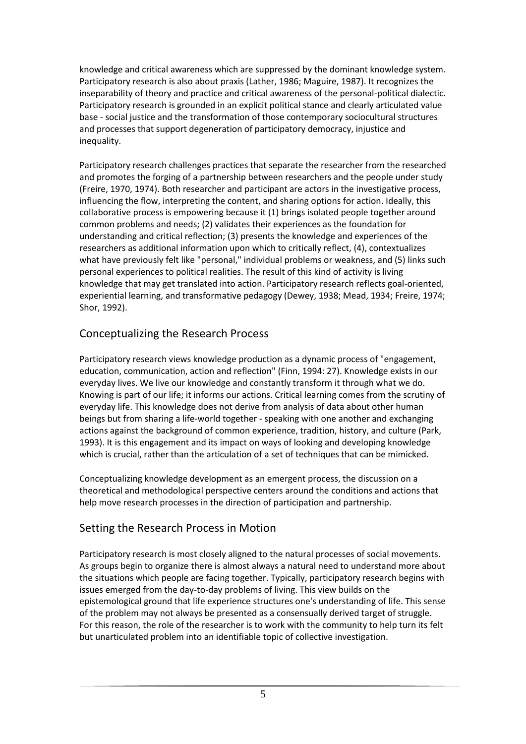knowledge and critical awareness which are suppressed by the dominant knowledge system. Participatory research is also about praxis (Lather, 1986; Maguire, 1987). It recognizes the inseparability of theory and practice and critical awareness of the personal-political dialectic. Participatory research is grounded in an explicit political stance and clearly articulated value base - social justice and the transformation of those contemporary sociocultural structures and processes that support degeneration of participatory democracy, injustice and inequality.

Participatory research challenges practices that separate the researcher from the researched and promotes the forging of a partnership between researchers and the people under study (Freire, 1970, 1974). Both researcher and participant are actors in the investigative process, influencing the flow, interpreting the content, and sharing options for action. Ideally, this collaborative process is empowering because it (1) brings isolated people together around common problems and needs; (2) validates their experiences as the foundation for understanding and critical reflection; (3) presents the knowledge and experiences of the researchers as additional information upon which to critically reflect, (4), contextualizes what have previously felt like "personal," individual problems or weakness, and (5) links such personal experiences to political realities. The result of this kind of activity is living knowledge that may get translated into action. Participatory research reflects goal-oriented, experiential learning, and transformative pedagogy (Dewey, 1938; Mead, 1934; Freire, 1974; Shor, 1992).

# <span id="page-4-0"></span>Conceptualizing the Research Process

Participatory research views knowledge production as a dynamic process of "engagement, education, communication, action and reflection" (Finn, 1994: 27). Knowledge exists in our everyday lives. We live our knowledge and constantly transform it through what we do. Knowing is part of our life; it informs our actions. Critical learning comes from the scrutiny of everyday life. This knowledge does not derive from analysis of data about other human beings but from sharing a life-world together - speaking with one another and exchanging actions against the background of common experience, tradition, history, and culture (Park, 1993). It is this engagement and its impact on ways of looking and developing knowledge which is crucial, rather than the articulation of a set of techniques that can be mimicked.

Conceptualizing knowledge development as an emergent process, the discussion on a theoretical and methodological perspective centers around the conditions and actions that help move research processes in the direction of participation and partnership.

## <span id="page-4-1"></span>Setting the Research Process in Motion

Participatory research is most closely aligned to the natural processes of social movements. As groups begin to organize there is almost always a natural need to understand more about the situations which people are facing together. Typically, participatory research begins with issues emerged from the day-to-day problems of living. This view builds on the epistemological ground that life experience structures one's understanding of life. This sense of the problem may not always be presented as a consensually derived target of struggle. For this reason, the role of the researcher is to work with the community to help turn its felt but unarticulated problem into an identifiable topic of collective investigation.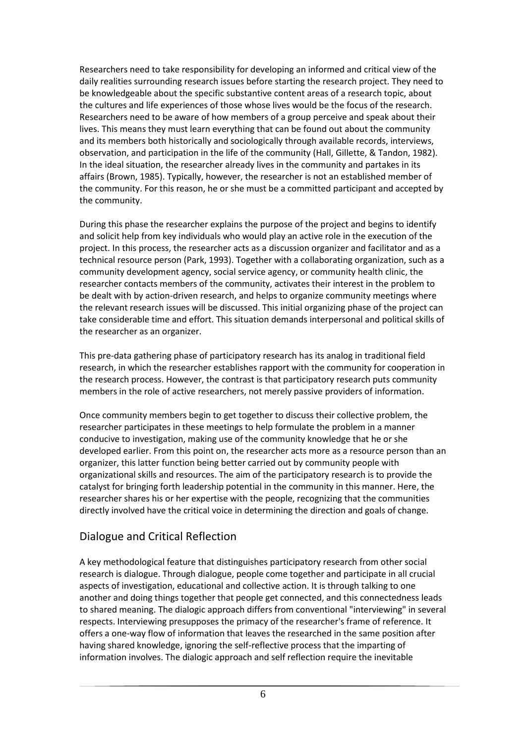Researchers need to take responsibility for developing an informed and critical view of the daily realities surrounding research issues before starting the research project. They need to be knowledgeable about the specific substantive content areas of a research topic, about the cultures and life experiences of those whose lives would be the focus of the research. Researchers need to be aware of how members of a group perceive and speak about their lives. This means they must learn everything that can be found out about the community and its members both historically and sociologically through available records, interviews, observation, and participation in the life of the community (Hall, Gillette, & Tandon, 1982). In the ideal situation, the researcher already lives in the community and partakes in its affairs (Brown, 1985). Typically, however, the researcher is not an established member of the community. For this reason, he or she must be a committed participant and accepted by the community.

During this phase the researcher explains the purpose of the project and begins to identify and solicit help from key individuals who would play an active role in the execution of the project. In this process, the researcher acts as a discussion organizer and facilitator and as a technical resource person (Park, 1993). Together with a collaborating organization, such as a community development agency, social service agency, or community health clinic, the researcher contacts members of the community, activates their interest in the problem to be dealt with by action-driven research, and helps to organize community meetings where the relevant research issues will be discussed. This initial organizing phase of the project can take considerable time and effort. This situation demands interpersonal and political skills of the researcher as an organizer.

This pre-data gathering phase of participatory research has its analog in traditional field research, in which the researcher establishes rapport with the community for cooperation in the research process. However, the contrast is that participatory research puts community members in the role of active researchers, not merely passive providers of information.

Once community members begin to get together to discuss their collective problem, the researcher participates in these meetings to help formulate the problem in a manner conducive to investigation, making use of the community knowledge that he or she developed earlier. From this point on, the researcher acts more as a resource person than an organizer, this latter function being better carried out by community people with organizational skills and resources. The aim of the participatory research is to provide the catalyst for bringing forth leadership potential in the community in this manner. Here, the researcher shares his or her expertise with the people, recognizing that the communities directly involved have the critical voice in determining the direction and goals of change.

## <span id="page-5-0"></span>Dialogue and Critical Reflection

A key methodological feature that distinguishes participatory research from other social research is dialogue. Through dialogue, people come together and participate in all crucial aspects of investigation, educational and collective action. It is through talking to one another and doing things together that people get connected, and this connectedness leads to shared meaning. The dialogic approach differs from conventional "interviewing" in several respects. Interviewing presupposes the primacy of the researcher's frame of reference. It offers a one-way flow of information that leaves the researched in the same position after having shared knowledge, ignoring the self-reflective process that the imparting of information involves. The dialogic approach and self reflection require the inevitable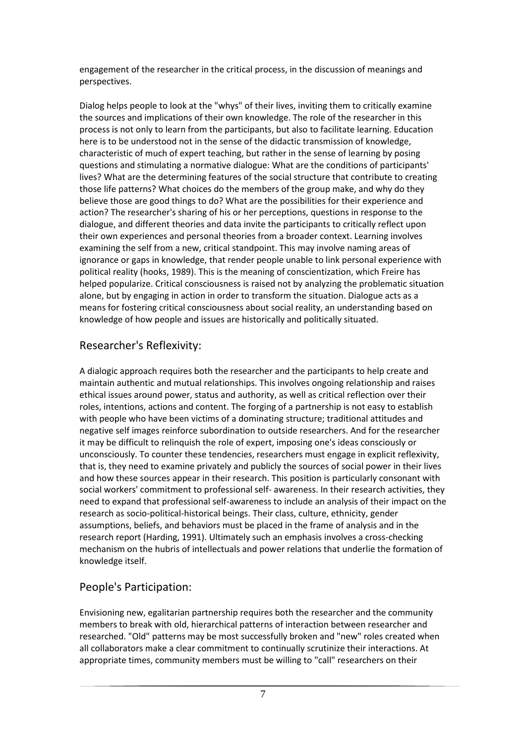engagement of the researcher in the critical process, in the discussion of meanings and perspectives.

Dialog helps people to look at the "whys" of their lives, inviting them to critically examine the sources and implications of their own knowledge. The role of the researcher in this process is not only to learn from the participants, but also to facilitate learning. Education here is to be understood not in the sense of the didactic transmission of knowledge, characteristic of much of expert teaching, but rather in the sense of learning by posing questions and stimulating a normative dialogue: What are the conditions of participants' lives? What are the determining features of the social structure that contribute to creating those life patterns? What choices do the members of the group make, and why do they believe those are good things to do? What are the possibilities for their experience and action? The researcher's sharing of his or her perceptions, questions in response to the dialogue, and different theories and data invite the participants to critically reflect upon their own experiences and personal theories from a broader context. Learning involves examining the self from a new, critical standpoint. This may involve naming areas of ignorance or gaps in knowledge, that render people unable to link personal experience with political reality (hooks, 1989). This is the meaning of conscientization, which Freire has helped popularize. Critical consciousness is raised not by analyzing the problematic situation alone, but by engaging in action in order to transform the situation. Dialogue acts as a means for fostering critical consciousness about social reality, an understanding based on knowledge of how people and issues are historically and politically situated.

## <span id="page-6-0"></span>Researcher's Reflexivity:

A dialogic approach requires both the researcher and the participants to help create and maintain authentic and mutual relationships. This involves ongoing relationship and raises ethical issues around power, status and authority, as well as critical reflection over their roles, intentions, actions and content. The forging of a partnership is not easy to establish with people who have been victims of a dominating structure; traditional attitudes and negative self images reinforce subordination to outside researchers. And for the researcher it may be difficult to relinquish the role of expert, imposing one's ideas consciously or unconsciously. To counter these tendencies, researchers must engage in explicit reflexivity, that is, they need to examine privately and publicly the sources of social power in their lives and how these sources appear in their research. This position is particularly consonant with social workers' commitment to professional self- awareness. In their research activities, they need to expand that professional self-awareness to include an analysis of their impact on the research as socio-political-historical beings. Their class, culture, ethnicity, gender assumptions, beliefs, and behaviors must be placed in the frame of analysis and in the research report (Harding, 1991). Ultimately such an emphasis involves a cross-checking mechanism on the hubris of intellectuals and power relations that underlie the formation of knowledge itself.

# <span id="page-6-1"></span>People's Participation:

Envisioning new, egalitarian partnership requires both the researcher and the community members to break with old, hierarchical patterns of interaction between researcher and researched. "Old" patterns may be most successfully broken and "new" roles created when all collaborators make a clear commitment to continually scrutinize their interactions. At appropriate times, community members must be willing to "call" researchers on their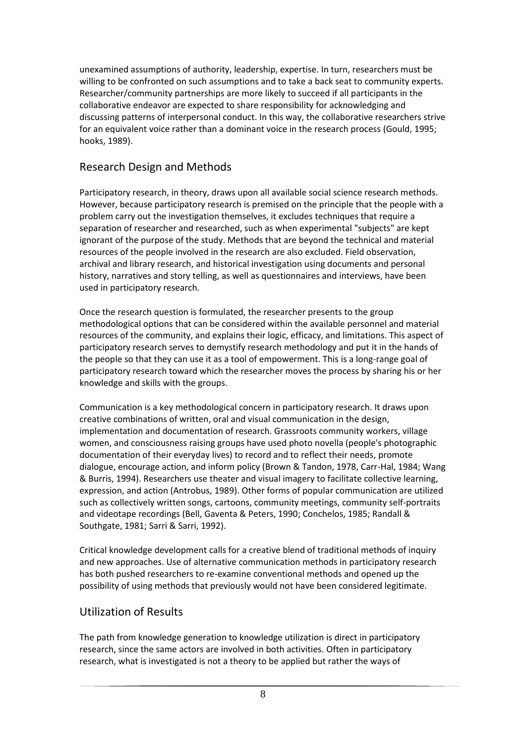unexamined assumptions of authority, leadership, expertise. In turn, researchers must be willing to be confronted on such assumptions and to take a back seat to community experts. Researcher/community partnerships are more likely to succeed if all participants in the collaborative endeavor are expected to share responsibility for acknowledging and discussing patterns of interpersonal conduct. In this way, the collaborative researchers strive for an equivalent voice rather than a dominant voice in the research process (Gould, 1995; hooks, 1989).

# <span id="page-7-0"></span>Research Design and Methods

Participatory research, in theory, draws upon all available social science research methods. However, because participatory research is premised on the principle that the people with a problem carry out the investigation themselves, it excludes techniques that require a separation of researcher and researched, such as when experimental "subjects" are kept ignorant of the purpose of the study. Methods that are beyond the technical and material resources of the people involved in the research are also excluded. Field observation, archival and library research, and historical investigation using documents and personal history, narratives and story telling, as well as questionnaires and interviews, have been used in participatory research.

Once the research question is formulated, the researcher presents to the group methodological options that can be considered within the available personnel and material resources of the community, and explains their logic, efficacy, and limitations. This aspect of participatory research serves to demystify research methodology and put it in the hands of the people so that they can use it as a tool of empowerment. This is a long-range goal of participatory research toward which the researcher moves the process by sharing his or her knowledge and skills with the groups.

Communication is a key methodological concern in participatory research. It draws upon creative combinations of written, oral and visual communication in the design, implementation and documentation of research. Grassroots community workers, village women, and consciousness raising groups have used photo novella (people's photographic documentation of their everyday lives) to record and to reflect their needs, promote dialogue, encourage action, and inform policy (Brown & Tandon, 1978, Carr-Hal, 1984; Wang & Burris, 1994). Researchers use theater and visual imagery to facilitate collective learning, expression, and action (Antrobus, 1989). Other forms of popular communication are utilized such as collectively written songs, cartoons, community meetings, community self-portraits and videotape recordings (Bell, Gaventa & Peters, 1990; Conchelos, 1985; Randall & Southgate, 1981; Sarri & Sarri, 1992).

Critical knowledge development calls for a creative blend of traditional methods of inquiry and new approaches. Use of alternative communication methods in participatory research has both pushed researchers to re-examine conventional methods and opened up the possibility of using methods that previously would not have been considered legitimate.

#### <span id="page-7-1"></span>Utilization of Results

The path from knowledge generation to knowledge utilization is direct in participatory research, since the same actors are involved in both activities. Often in participatory research, what is investigated is not a theory to be applied but rather the ways of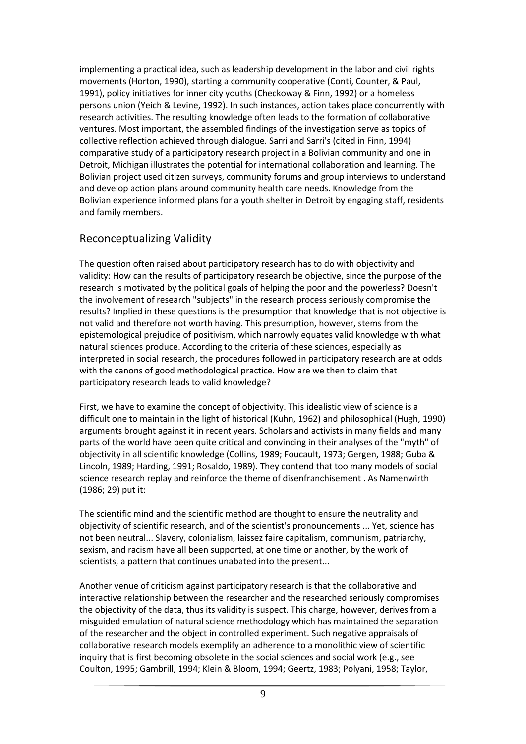implementing a practical idea, such as leadership development in the labor and civil rights movements (Horton, 1990), starting a community cooperative (Conti, Counter, & Paul, 1991), policy initiatives for inner city youths (Checkoway & Finn, 1992) or a homeless persons union (Yeich & Levine, 1992). In such instances, action takes place concurrently with research activities. The resulting knowledge often leads to the formation of collaborative ventures. Most important, the assembled findings of the investigation serve as topics of collective reflection achieved through dialogue. Sarri and Sarri's (cited in Finn, 1994) comparative study of a participatory research project in a Bolivian community and one in Detroit, Michigan illustrates the potential for international collaboration and learning. The Bolivian project used citizen surveys, community forums and group interviews to understand and develop action plans around community health care needs. Knowledge from the Bolivian experience informed plans for a youth shelter in Detroit by engaging staff, residents and family members.

# <span id="page-8-0"></span>Reconceptualizing Validity

The question often raised about participatory research has to do with objectivity and validity: How can the results of participatory research be objective, since the purpose of the research is motivated by the political goals of helping the poor and the powerless? Doesn't the involvement of research "subjects" in the research process seriously compromise the results? Implied in these questions is the presumption that knowledge that is not objective is not valid and therefore not worth having. This presumption, however, stems from the epistemological prejudice of positivism, which narrowly equates valid knowledge with what natural sciences produce. According to the criteria of these sciences, especially as interpreted in social research, the procedures followed in participatory research are at odds with the canons of good methodological practice. How are we then to claim that participatory research leads to valid knowledge?

First, we have to examine the concept of objectivity. This idealistic view of science is a difficult one to maintain in the light of historical (Kuhn, 1962) and philosophical (Hugh, 1990) arguments brought against it in recent years. Scholars and activists in many fields and many parts of the world have been quite critical and convincing in their analyses of the "myth" of objectivity in all scientific knowledge (Collins, 1989; Foucault, 1973; Gergen, 1988; Guba & Lincoln, 1989; Harding, 1991; Rosaldo, 1989). They contend that too many models of social science research replay and reinforce the theme of disenfranchisement . As Namenwirth (1986; 29) put it:

The scientific mind and the scientific method are thought to ensure the neutrality and objectivity of scientific research, and of the scientist's pronouncements ... Yet, science has not been neutral... Slavery, colonialism, laissez faire capitalism, communism, patriarchy, sexism, and racism have all been supported, at one time or another, by the work of scientists, a pattern that continues unabated into the present...

Another venue of criticism against participatory research is that the collaborative and interactive relationship between the researcher and the researched seriously compromises the objectivity of the data, thus its validity is suspect. This charge, however, derives from a misguided emulation of natural science methodology which has maintained the separation of the researcher and the object in controlled experiment. Such negative appraisals of collaborative research models exemplify an adherence to a monolithic view of scientific inquiry that is first becoming obsolete in the social sciences and social work (e.g., see Coulton, 1995; Gambrill, 1994; Klein & Bloom, 1994; Geertz, 1983; Polyani, 1958; Taylor,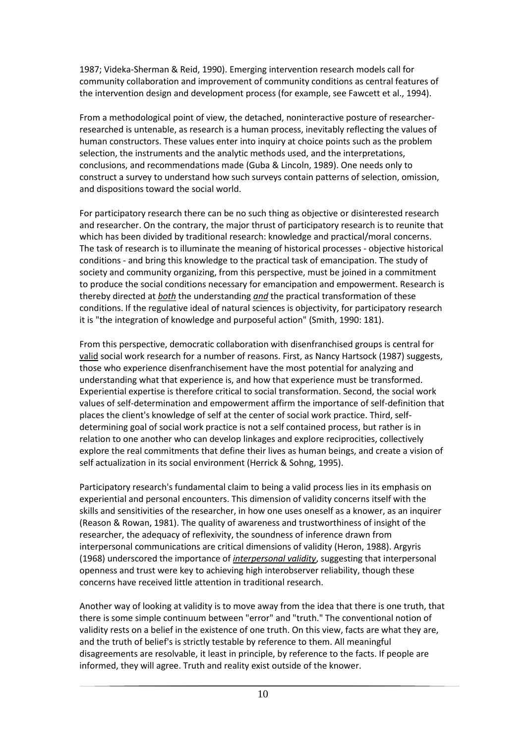1987; Videka-Sherman & Reid, 1990). Emerging intervention research models call for community collaboration and improvement of community conditions as central features of the intervention design and development process (for example, see Fawcett et al., 1994).

From a methodological point of view, the detached, noninteractive posture of researcherresearched is untenable, as research is a human process, inevitably reflecting the values of human constructors. These values enter into inquiry at choice points such as the problem selection, the instruments and the analytic methods used, and the interpretations, conclusions, and recommendations made (Guba & Lincoln, 1989). One needs only to construct a survey to understand how such surveys contain patterns of selection, omission, and dispositions toward the social world.

For participatory research there can be no such thing as objective or disinterested research and researcher. On the contrary, the major thrust of participatory research is to reunite that which has been divided by traditional research: knowledge and practical/moral concerns. The task of research is to illuminate the meaning of historical processes - objective historical conditions - and bring this knowledge to the practical task of emancipation. The study of society and community organizing, from this perspective, must be joined in a commitment to produce the social conditions necessary for emancipation and empowerment. Research is thereby directed at *both* the understanding *and* the practical transformation of these conditions. If the regulative ideal of natural sciences is objectivity, for participatory research it is "the integration of knowledge and purposeful action" (Smith, 1990: 181).

From this perspective, democratic collaboration with disenfranchised groups is central for valid social work research for a number of reasons. First, as Nancy Hartsock (1987) suggests, those who experience disenfranchisement have the most potential for analyzing and understanding what that experience is, and how that experience must be transformed. Experiential expertise is therefore critical to social transformation. Second, the social work values of self-determination and empowerment affirm the importance of self-definition that places the client's knowledge of self at the center of social work practice. Third, selfdetermining goal of social work practice is not a self contained process, but rather is in relation to one another who can develop linkages and explore reciprocities, collectively explore the real commitments that define their lives as human beings, and create a vision of self actualization in its social environment (Herrick & Sohng, 1995).

Participatory research's fundamental claim to being a valid process lies in its emphasis on experiential and personal encounters. This dimension of validity concerns itself with the skills and sensitivities of the researcher, in how one uses oneself as a knower, as an inquirer (Reason & Rowan, 1981). The quality of awareness and trustworthiness of insight of the researcher, the adequacy of reflexivity, the soundness of inference drawn from interpersonal communications are critical dimensions of validity (Heron, 1988). Argyris (1968) underscored the importance of *interpersonal validity*, suggesting that interpersonal openness and trust were key to achieving high interobserver reliability, though these concerns have received little attention in traditional research.

Another way of looking at validity is to move away from the idea that there is one truth, that there is some simple continuum between "error" and "truth." The conventional notion of validity rests on a belief in the existence of one truth. On this view, facts are what they are, and the truth of belief's is strictly testable by reference to them. All meaningful disagreements are resolvable, it least in principle, by reference to the facts. If people are informed, they will agree. Truth and reality exist outside of the knower.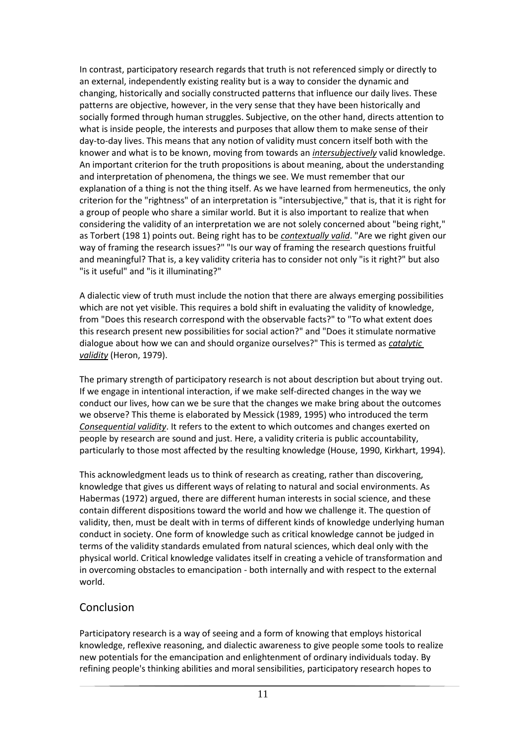In contrast, participatory research regards that truth is not referenced simply or directly to an external, independently existing reality but is a way to consider the dynamic and changing, historically and socially constructed patterns that influence our daily lives. These patterns are objective, however, in the very sense that they have been historically and socially formed through human struggles. Subjective, on the other hand, directs attention to what is inside people, the interests and purposes that allow them to make sense of their day-to-day lives. This means that any notion of validity must concern itself both with the knower and what is to be known, moving from towards an *intersubjectively* valid knowledge. An important criterion for the truth propositions is about meaning, about the understanding and interpretation of phenomena, the things we see. We must remember that our explanation of a thing is not the thing itself. As we have learned from hermeneutics, the only criterion for the "rightness" of an interpretation is "intersubjective," that is, that it is right for a group of people who share a similar world. But it is also important to realize that when considering the validity of an interpretation we are not solely concerned about "being right," as Torbert (198 1) points out. Being right has to be *contextually valid*. "Are we right given our way of framing the research issues?" "Is our way of framing the research questions fruitful and meaningful? That is, a key validity criteria has to consider not only "is it right?" but also "is it useful" and "is it illuminating?"

A dialectic view of truth must include the notion that there are always emerging possibilities which are not yet visible. This requires a bold shift in evaluating the validity of knowledge, from "Does this research correspond with the observable facts?" to "To what extent does this research present new possibilities for social action?" and "Does it stimulate normative dialogue about how we can and should organize ourselves?" This is termed as *catalytic validity* (Heron, 1979).

The primary strength of participatory research is not about description but about trying out. If we engage in intentional interaction, if we make self-directed changes in the way we conduct our lives, how can we be sure that the changes we make bring about the outcomes we observe? This theme is elaborated by Messick (1989, 1995) who introduced the term *Consequential validity*. It refers to the extent to which outcomes and changes exerted on people by research are sound and just. Here, a validity criteria is public accountability, particularly to those most affected by the resulting knowledge (House, 1990, Kirkhart, 1994).

This acknowledgment leads us to think of research as creating, rather than discovering, knowledge that gives us different ways of relating to natural and social environments. As Habermas (1972) argued, there are different human interests in social science, and these contain different dispositions toward the world and how we challenge it. The question of validity, then, must be dealt with in terms of different kinds of knowledge underlying human conduct in society. One form of knowledge such as critical knowledge cannot be judged in terms of the validity standards emulated from natural sciences, which deal only with the physical world. Critical knowledge validates itself in creating a vehicle of transformation and in overcoming obstacles to emancipation - both internally and with respect to the external world.

#### <span id="page-10-0"></span>Conclusion

Participatory research is a way of seeing and a form of knowing that employs historical knowledge, reflexive reasoning, and dialectic awareness to give people some tools to realize new potentials for the emancipation and enlightenment of ordinary individuals today. By refining people's thinking abilities and moral sensibilities, participatory research hopes to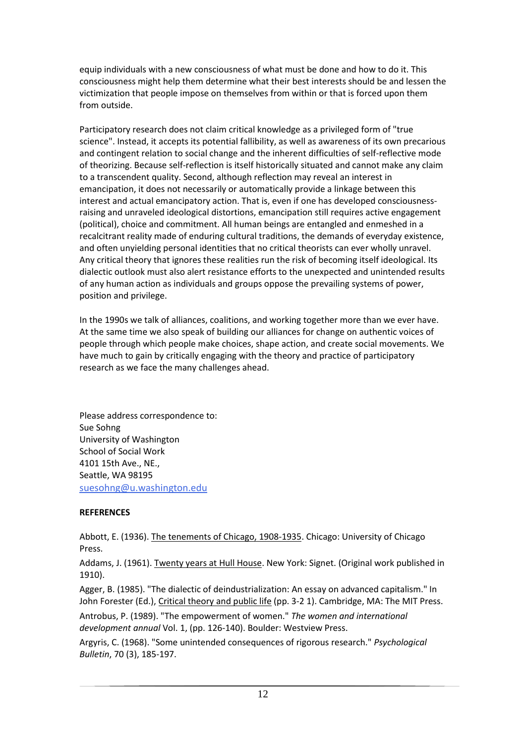equip individuals with a new consciousness of what must be done and how to do it. This consciousness might help them determine what their best interests should be and lessen the victimization that people impose on themselves from within or that is forced upon them from outside.

Participatory research does not claim critical knowledge as a privileged form of "true science". Instead, it accepts its potential fallibility, as well as awareness of its own precarious and contingent relation to social change and the inherent difficulties of self-reflective mode of theorizing. Because self-reflection is itself historically situated and cannot make any claim to a transcendent quality. Second, although reflection may reveal an interest in emancipation, it does not necessarily or automatically provide a linkage between this interest and actual emancipatory action. That is, even if one has developed consciousnessraising and unraveled ideological distortions, emancipation still requires active engagement (political), choice and commitment. All human beings are entangled and enmeshed in a recalcitrant reality made of enduring cultural traditions, the demands of everyday existence, and often unyielding personal identities that no critical theorists can ever wholly unravel. Any critical theory that ignores these realities run the risk of becoming itself ideological. Its dialectic outlook must also alert resistance efforts to the unexpected and unintended results of any human action as individuals and groups oppose the prevailing systems of power, position and privilege.

In the 1990s we talk of alliances, coalitions, and working together more than we ever have. At the same time we also speak of building our alliances for change on authentic voices of people through which people make choices, shape action, and create social movements. We have much to gain by critically engaging with the theory and practice of participatory research as we face the many challenges ahead.

Please address correspondence to: Sue Sohng University of Washington School of Social Work 4101 15th Ave., NE., Seattle, WA 9819[5](mailto:suesohng@u.washington.edu) [suesohng@u.washington.edu](mailto:suesohng@u.washington.edu)

#### **REFERENCES**

Abbott, E. (1936). The tenements of Chicago, 1908-1935. Chicago: University of Chicago Press.

Addams, J. (1961). Twenty years at Hull House. New York: Signet. (Original work published in 1910).

Agger, B. (1985). "The dialectic of deindustrialization: An essay on advanced capitalism." In John Forester (Ed.), Critical theory and public life (pp. 3-2 1). Cambridge, MA: The MIT Press.

Antrobus, P. (1989). "The empowerment of women." *The women and international development annual* Vol. 1, (pp. 126-140). Boulder: Westview Press.

Argyris, C. (1968). "Some unintended consequences of rigorous research." *Psychological Bulletin*, 70 (3), 185-197.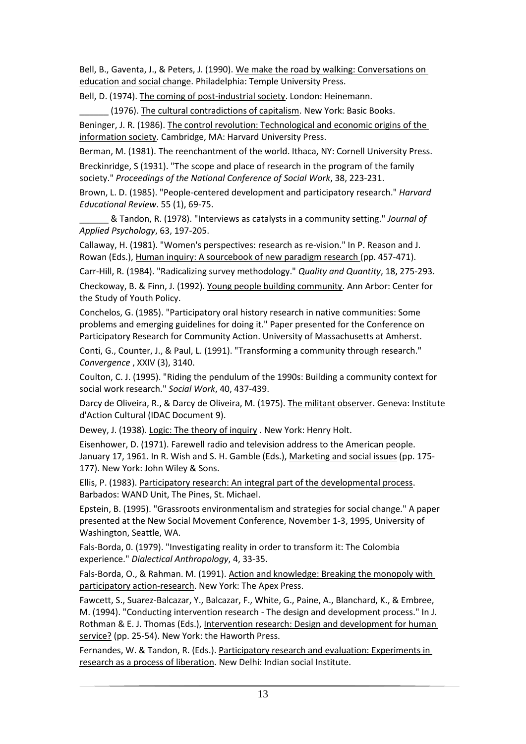Bell, B., Gaventa, J., & Peters, J. (1990). We make the road by walking: Conversations on education and social change. Philadelphia: Temple University Press.

Bell, D. (1974). The coming of post-industrial society. London: Heinemann.

\_\_\_\_\_\_ (1976). The cultural contradictions of capitalism. New York: Basic Books.

Beninger, J. R. (1986). The control revolution: Technological and economic origins of the information society. Cambridge, MA: Harvard University Press.

Berman, M. (1981). The reenchantment of the world. Ithaca, NY: Cornell University Press.

Breckinridge, S (1931). "The scope and place of research in the program of the family society." *Proceedings of the National Conference of Social Work*, 38, 223-231.

Brown, L. D. (1985). "People-centered development and participatory research." *Harvard Educational Review*. 55 (1), 69-75.

\_\_\_\_\_\_ & Tandon, R. (1978). "Interviews as catalysts in a community setting." *Journal of Applied Psychology*, 63, 197-205.

Callaway, H. (1981). "Women's perspectives: research as re-vision." In P. Reason and J. Rowan (Eds.), Human inquiry: A sourcebook of new paradigm research (pp. 457-471).

Carr-Hill, R. (1984). "Radicalizing survey methodology." *Quality and Quantity*, 18, 275-293.

Checkoway, B. & Finn, J. (1992). Young people building community. Ann Arbor: Center for the Study of Youth Policy.

Conchelos, G. (1985). "Participatory oral history research in native communities: Some problems and emerging guidelines for doing it." Paper presented for the Conference on Participatory Research for Community Action. University of Massachusetts at Amherst.

Conti, G., Counter, J., & Paul, L. (1991). "Transforming a community through research." *Convergence* , XXIV (3), 3140.

Coulton, C. J. (1995). "Riding the pendulum of the 1990s: Building a community context for social work research." *Social Work*, 40, 437-439.

Darcy de Oliveira, R., & Darcy de Oliveira, M. (1975). The militant observer. Geneva: Institute d'Action Cultural (IDAC Document 9).

Dewey, J. (1938). Logic: The theory of inquiry . New York: Henry Holt.

Eisenhower, D. (1971). Farewell radio and television address to the American people. January 17, 1961. In R. Wish and S. H. Gamble (Eds.), Marketing and social issues (pp. 175- 177). New York: John Wiley & Sons.

Ellis, P. (1983). Participatory research: An integral part of the developmental process. Barbados: WAND Unit, The Pines, St. Michael.

Epstein, B. (1995). "Grassroots environmentalism and strategies for social change." A paper presented at the New Social Movement Conference, November 1-3, 1995, University of Washington, Seattle, WA.

Fals-Borda, 0. (1979). "Investigating reality in order to transform it: The Colombia experience." *Dialectical Anthropology*, 4, 33-35.

Fals-Borda, O., & Rahman. M. (1991). Action and knowledge: Breaking the monopoly with participatory action-research. New York: The Apex Press.

Fawcett, S., Suarez-Balcazar, Y., Balcazar, F., White, G., Paine, A., Blanchard, K., & Embree, M. (1994). "Conducting intervention research - The design and development process." In J. Rothman & E. J. Thomas (Eds.), Intervention research: Design and development for human service? (pp. 25-54). New York: the Haworth Press.

Fernandes, W. & Tandon, R. (Eds.). Participatory research and evaluation: Experiments in research as a process of liberation. New Delhi: Indian social Institute.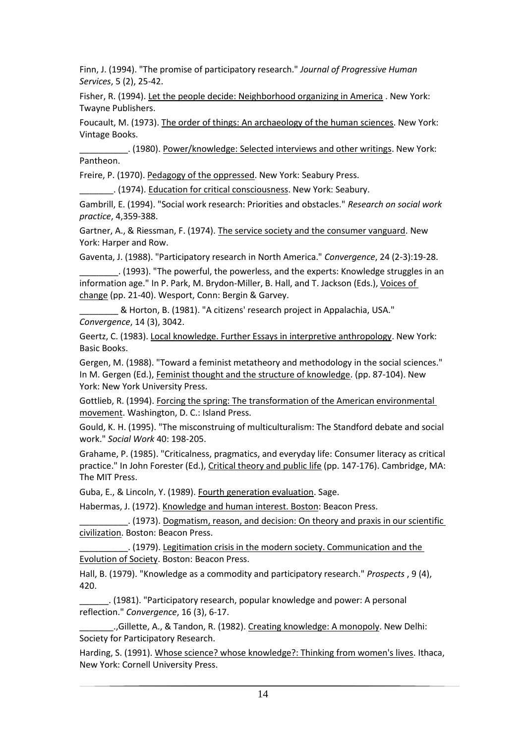Finn, J. (1994). "The promise of participatory research." *Journal of Progressive Human Services*, 5 (2), 25-42.

Fisher, R. (1994). Let the people decide: Neighborhood organizing in America . New York: Twayne Publishers.

Foucault, M. (1973). The order of things: An archaeology of the human sciences. New York: Vintage Books.

\_\_\_\_\_\_\_\_\_\_. (1980). Power/knowledge: Selected interviews and other writings. New York: Pantheon.

Freire, P. (1970). Pedagogy of the oppressed. New York: Seabury Press.

\_\_\_\_\_\_\_. (1974). Education for critical consciousness. New York: Seabury.

Gambrill, E. (1994). "Social work research: Priorities and obstacles." *Research on social work practice*, 4,359-388.

Gartner, A., & Riessman, F. (1974). The service society and the consumer vanguard. New York: Harper and Row.

Gaventa, J. (1988). "Participatory research in North America." *Convergence*, 24 (2-3):19-28.

\_\_\_\_\_\_\_\_. (1993). "The powerful, the powerless, and the experts: Knowledge struggles in an information age." In P. Park, M. Brydon-Miller, B. Hall, and T. Jackson (Eds.), Voices of change (pp. 21-40). Wesport, Conn: Bergin & Garvey.

\_\_\_\_\_\_\_\_ & Horton, B. (1981). "A citizens' research project in Appalachia, USA." *Convergence*, 14 (3), 3042.

Geertz, C. (1983). Local knowledge. Further Essays in interpretive anthropology. New York: Basic Books.

Gergen, M. (1988). "Toward a feminist metatheory and methodology in the social sciences." In M. Gergen (Ed.), Feminist thought and the structure of knowledge. (pp. 87-104). New York: New York University Press.

Gottlieb, R. (1994). Forcing the spring: The transformation of the American environmental movement. Washington, D. C.: Island Press.

Gould, K. H. (1995). "The misconstruing of multiculturalism: The Standford debate and social work." *Social Work* 40: 198-205.

Grahame, P. (1985). "Criticalness, pragmatics, and everyday life: Consumer literacy as critical practice." In John Forester (Ed.), Critical theory and public life (pp. 147-176). Cambridge, MA: The MIT Press.

Guba, E., & Lincoln, Y. (1989). Fourth generation evaluation. Sage.

Habermas, J. (1972). Knowledge and human interest. Boston: Beacon Press.

\_\_\_\_\_\_\_\_\_\_. (1973). Dogmatism, reason, and decision: On theory and praxis in our scientific civilization. Boston: Beacon Press.

\_\_\_\_\_\_\_\_\_\_. (1979). Legitimation crisis in the modern society. Communication and the Evolution of Society. Boston: Beacon Press.

Hall, B. (1979). "Knowledge as a commodity and participatory research." *Prospects* , 9 (4), 420.

\_\_\_\_\_\_. (1981). "Participatory research, popular knowledge and power: A personal reflection." *Convergence*, 16 (3), 6-17.

\_\_\_\_\_\_\_.,Gillette, A., & Tandon, R. (1982). Creating knowledge: A monopoly. New Delhi: Society for Participatory Research.

Harding, S. (1991). Whose science? whose knowledge?: Thinking from women's lives. Ithaca, New York: Cornell University Press.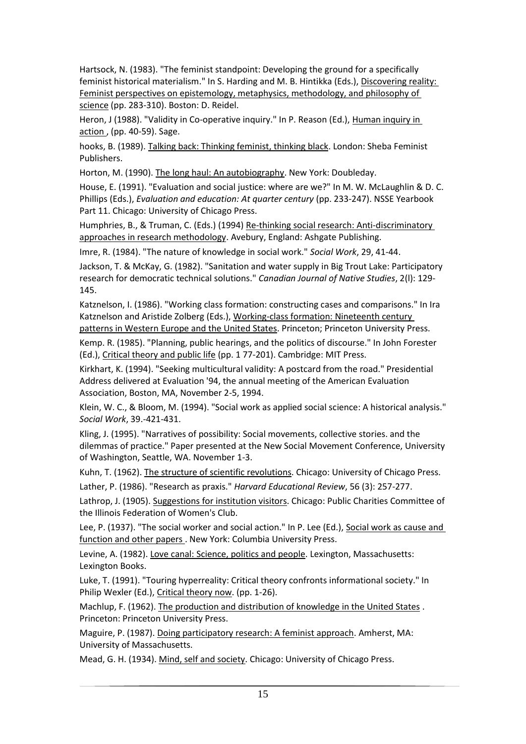Hartsock, N. (1983). "The feminist standpoint: Developing the ground for a specifically feminist historical materialism." In S. Harding and M. B. Hintikka (Eds.), Discovering reality: Feminist perspectives on epistemology, metaphysics, methodology, and philosophy of science (pp. 283-310). Boston: D. Reidel.

Heron, J (1988). "Validity in Co-operative inquiry." In P. Reason (Ed.), Human inquiry in action , (pp. 40-59). Sage.

hooks, B. (1989). Talking back: Thinking feminist, thinking black. London: Sheba Feminist Publishers.

Horton, M. (1990). The long haul: An autobiography. New York: Doubleday.

House, E. (1991). "Evaluation and social justice: where are we?" In M. W. McLaughlin & D. C. Phillips (Eds.), *Evaluation and education: At quarter century* (pp. 233-247). NSSE Yearbook Part 11. Chicago: University of Chicago Press.

Humphries, B., & Truman, C. (Eds.) (1994) Re-thinking social research: Anti-discriminatory approaches in research methodology. Avebury, England: Ashgate Publishing.

Imre, R. (1984). "The nature of knowledge in social work." *Social Work*, 29, 41-44.

Jackson, T. & McKay, G. (1982). "Sanitation and water supply in Big Trout Lake: Participatory research for democratic technical solutions." *Canadian Journal of Native Studies*, 2(l): 129- 145.

Katznelson, I. (1986). "Working class formation: constructing cases and comparisons." In Ira Katznelson and Aristide Zolberg (Eds.), Working-class formation: Nineteenth century patterns in Western Europe and the United States. Princeton; Princeton University Press.

Kemp. R. (1985). "Planning, public hearings, and the politics of discourse." In John Forester (Ed.), Critical theory and public life (pp. 1 77-201). Cambridge: MIT Press.

Kirkhart, K. (1994). "Seeking multicultural validity: A postcard from the road." Presidential Address delivered at Evaluation '94, the annual meeting of the American Evaluation Association, Boston, MA, November 2-5, 1994.

Klein, W. C., & Bloom, M. (1994). "Social work as applied social science: A historical analysis." *Social Work*, 39.-421-431.

Kling, J. (1995). "Narratives of possibility: Social movements, collective stories. and the dilemmas of practice." Paper presented at the New Social Movement Conference, University of Washington, Seattle, WA. November 1-3.

Kuhn, T. (1962). The structure of scientific revolutions. Chicago: University of Chicago Press.

Lather, P. (1986). "Research as praxis." *Harvard Educational Review*, 56 (3): 257-277.

Lathrop, J. (1905). Suggestions for institution visitors. Chicago: Public Charities Committee of the Illinois Federation of Women's Club.

Lee, P. (1937). "The social worker and social action." In P. Lee (Ed.), Social work as cause and function and other papers . New York: Columbia University Press.

Levine, A. (1982). Love canal: Science, politics and people. Lexington, Massachusetts: Lexington Books.

Luke, T. (1991). "Touring hyperreality: Critical theory confronts informational society." In Philip Wexler (Ed.), Critical theory now. (pp. 1-26).

Machlup, F. (1962). The production and distribution of knowledge in the United States . Princeton: Princeton University Press.

Maguire, P. (1987). Doing participatory research: A feminist approach. Amherst, MA: University of Massachusetts.

Mead, G. H. (1934). Mind, self and society. Chicago: University of Chicago Press.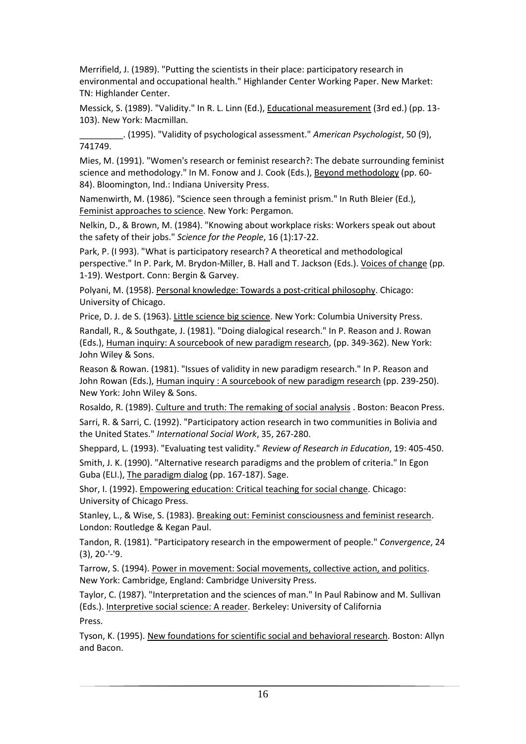Merrifield, J. (1989). "Putting the scientists in their place: participatory research in environmental and occupational health." Highlander Center Working Paper. New Market: TN: Highlander Center.

Messick, S. (1989). "Validity." In R. L. Linn (Ed.), Educational measurement (3rd ed.) (pp. 13- 103). New York: Macmillan.

\_\_\_\_\_\_\_\_\_. (1995). "Validity of psychological assessment." *American Psychologist*, 50 (9), 741749.

Mies, M. (1991). "Women's research or feminist research?: The debate surrounding feminist science and methodology." In M. Fonow and J. Cook (Eds.), Beyond methodology (pp. 60- 84). Bloomington, Ind.: Indiana University Press.

Namenwirth, M. (1986). "Science seen through a feminist prism." In Ruth Bleier (Ed.), Feminist approaches to science. New York: Pergamon.

Nelkin, D., & Brown, M. (1984). "Knowing about workplace risks: Workers speak out about the safety of their jobs." *Science for the People*, 16 (1):17-22.

Park, P. (I 993). "What is participatory research? A theoretical and methodological perspective." In P. Park, M. Brydon-Miller, B. Hall and T. Jackson (Eds.). Voices of change (pp. 1-19). Westport. Conn: Bergin & Garvey.

Polyani, M. (1958). Personal knowledge: Towards a post-critical philosophy. Chicago: University of Chicago.

Price, D. J. de S. (1963). Little science big science. New York: Columbia University Press.

Randall, R., & Southgate, J. (1981). "Doing dialogical research." In P. Reason and J. Rowan (Eds.), Human inquiry: A sourcebook of new paradigm research, (pp. 349-362). New York: John Wiley & Sons.

Reason & Rowan. (1981). "Issues of validity in new paradigm research." In P. Reason and John Rowan (Eds.), Human inquiry : A sourcebook of new paradigm research (pp. 239-250). New York: John Wiley & Sons.

Rosaldo, R. (1989). Culture and truth: The remaking of social analysis . Boston: Beacon Press.

Sarri, R. & Sarri, C. (1992). "Participatory action research in two communities in Bolivia and the United States." *International Social Work*, 35, 267-280.

Sheppard, L. (1993). "Evaluating test validity." *Review of Research in Education*, 19: 405-450.

Smith, J. K. (1990). "Alternative research paradigms and the problem of criteria." In Egon Guba (ELI.), The paradigm dialog (pp. 167-187). Sage.

Shor, I. (1992). Empowering education: Critical teaching for social change. Chicago: University of Chicago Press.

Stanley, L., & Wise, S. (1983). Breaking out: Feminist consciousness and feminist research. London: Routledge & Kegan Paul.

Tandon, R. (1981). "Participatory research in the empowerment of people." *Convergence*, 24 (3), 20-'-'9.

Tarrow, S. (1994). Power in movement: Social movements, collective action, and politics. New York: Cambridge, England: Cambridge University Press.

Taylor, C. (1987). "Interpretation and the sciences of man." In Paul Rabinow and M. Sullivan (Eds.). Interpretive social science: A reader. Berkeley: University of California Press.

Tyson, K. (1995). New foundations for scientific social and behavioral research. Boston: Allyn and Bacon.